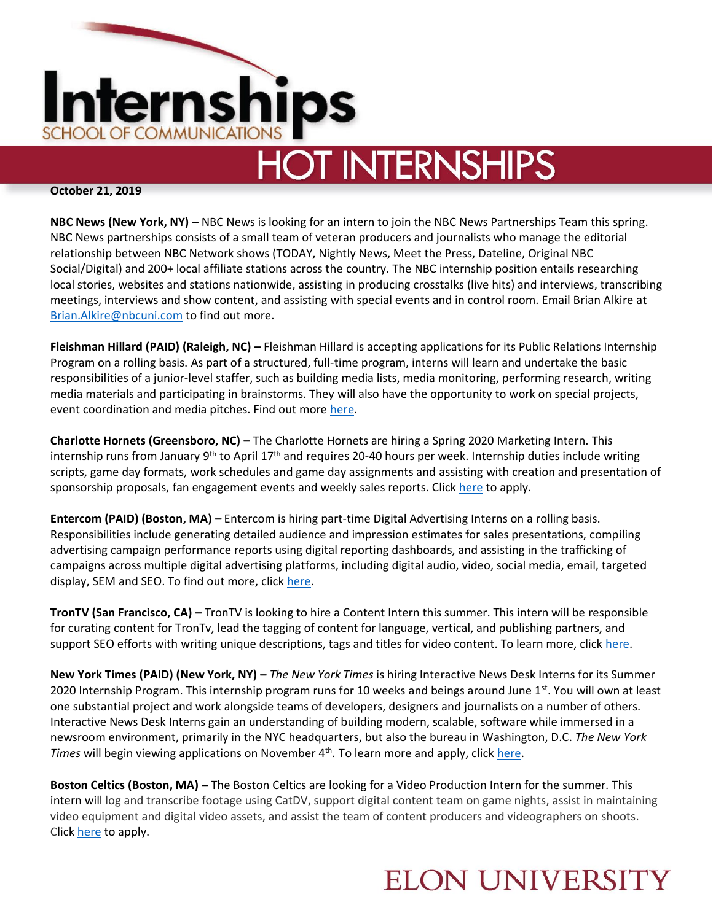

# **HOT INTERNSHIPS**

#### **October 21, 2019**

**NBC News (New York, NY) –** NBC News is looking for an intern to join the NBC News Partnerships Team this spring. NBC News partnerships consists of a small team of veteran producers and journalists who manage the editorial relationship between NBC Network shows (TODAY, Nightly News, Meet the Press, Dateline, Original NBC Social/Digital) and 200+ local affiliate stations across the country. The NBC internship position entails researching local stories, websites and stations nationwide, assisting in producing crosstalks (live hits) and interviews, transcribing meetings, interviews and show content, and assisting with special events and in control room. Email Brian Alkire at [Brian.Alkire@nbcuni.com](mailto:Brian.Alkire@nbcuni.com) to find out more.

**Fleishman Hillard (PAID) (Raleigh, NC) –** Fleishman Hillard is accepting applications for its Public Relations Internship Program on a rolling basis. As part of a structured, full-time program, interns will learn and undertake the basic responsibilities of a junior-level staffer, such as building media lists, media monitoring, performing research, writing media materials and participating in brainstorms. They will also have the opportunity to work on special projects, event coordination and media pitches. Find out more [here.](https://www.linkedin.com/jobs/view/public-relations-intern-raleigh-at-fleishmanhillard-1364401196/?utm_campaign=google_jobs_apply&utm_source=google_jobs_apply&utm_medium=organic)

**Charlotte Hornets (Greensboro, NC) –** The Charlotte Hornets are hiring a Spring 2020 Marketing Intern. This internship runs from January 9<sup>th</sup> to April 17<sup>th</sup> and requires 20-40 hours per week. Internship duties include writing scripts, game day formats, work schedules and game day assignments and assisting with creation and presentation of sponsorship proposals, fan engagement events and weekly sales reports. Click [here](https://www.jobilize.com/amp/job/spring-2020-swarm-marketing-intern-greensboro-charlotte-hornets-advertising?utm_campaign=google_jobs_apply&utm_source=google_jobs_apply&utm_medium=organic) to apply.

**Entercom (PAID) (Boston, MA) –** Entercom is hiring part-time Digital Advertising Interns on a rolling basis. Responsibilities include generating detailed audience and impression estimates for sales presentations, compiling advertising campaign performance reports using digital reporting dashboards, and assisting in the trafficking of campaigns across multiple digital advertising platforms, including digital audio, video, social media, email, targeted display, SEM and SEO. To find out more, click [here.](https://entercom.avature.net/careers/JobDetail/Digital-Advertising-Internship/14698)

**TronTV (San Francisco, CA) –** TronTV is looking to hire a Content Intern this summer. This intern will be responsible for curating content for TronTv, lead the tagging of content for language, vertical, and publishing partners, and support SEO efforts with writing unique descriptions, tags and titles for video content. To learn more, click [here.](https://boards.greenhouse.io/rainberry/jobs/4478539002?utm_campaign=google_jobs_apply&utm_source=google_jobs_apply&utm_medium=organic)

**New York Times (PAID) (New York, NY) –** *The New York Times* is hiring Interactive News Desk Interns for its Summer 2020 Internship Program. This internship program runs for 10 weeks and beings around June 1<sup>st</sup>. You will own at least one substantial project and work alongside teams of developers, designers and journalists on a number of others. Interactive News Desk Interns gain an understanding of building modern, scalable, software while immersed in a newsroom environment, primarily in the NYC headquarters, but also the bureau in Washington, D.C. *The New York Times* will begin viewing applications on November 4<sup>th</sup>. To learn more and apply, click [here.](https://nytimes.wd5.myworkdayjobs.com/en-US/Intern-Biz/job/New-York-NY/Interactive-News-Desk--Intern_REQ-006382)

**Boston Celtics (Boston, MA) –** The Boston Celtics are looking for a Video Production Intern for the summer. This intern will log and transcribe footage using CatDV, support digital content team on game nights, assist in maintaining video equipment and digital video assets, and assist the team of content producers and videographers on shoots. Clic[k here](https://www.nba.com/celtics/contact/digital-production-intern) to apply.

### **ELON UNIVERSITY**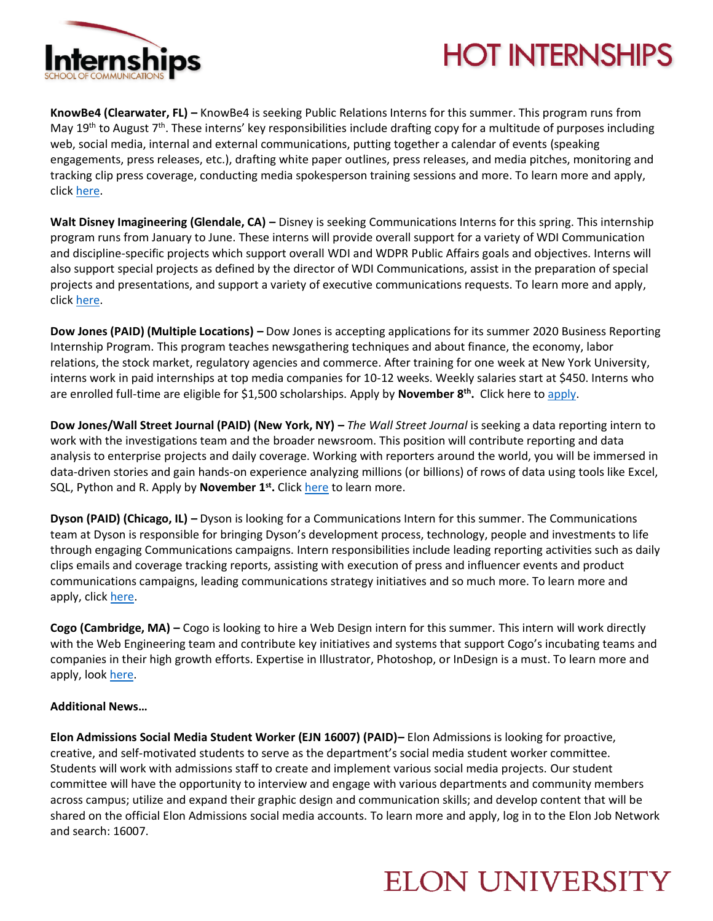

# **HOT INTERNSHIPS**

**KnowBe4 (Clearwater, FL) –** KnowBe4 is seeking Public Relations Interns for this summer. This program runs from May 19<sup>th</sup> to August 7<sup>th</sup>. These interns' key responsibilities include drafting copy for a multitude of purposes including web, social media, internal and external communications, putting together a calendar of events (speaking engagements, press releases, etc.), drafting white paper outlines, press releases, and media pitches, monitoring and tracking clip press coverage, conducting media spokesperson training sessions and more. To learn more and apply, click [here.](https://www.knowbe4.com/job?gh_jid=4431159002)

**Walt Disney Imagineering (Glendale, CA) –** Disney is seeking Communications Interns for this spring. This internship program runs from January to June. These interns will provide overall support for a variety of WDI Communication and discipline-specific projects which support overall WDI and WDPR Public Affairs goals and objectives. Interns will also support special projects as defined by the director of WDI Communications, assist in the preparation of special projects and presentations, and support a variety of executive communications requests. To learn more and apply, click [here.](https://jobs.disneycareers.com/job/glendale/wdi-communications-internship-glendale-spring-2020/391/13680536?cid=15760)

**Dow Jones (PAID) (Multiple Locations) –** Dow Jones is accepting applications for its summer 2020 Business Reporting Internship Program. This program teaches newsgathering techniques and about finance, the economy, labor relations, the stock market, regulatory agencies and commerce. After training for one week at New York University, interns work in paid internships at top media companies for 10-12 weeks. Weekly salaries start at \$450. Interns who are enrolled full-time are eligible for \$1,500 scholarships. Apply by **November 8th .** Click here t[o apply.](https://dowjones.wd1.myworkdayjobs.com/en-US/News_Fund_Careers/job/Nationwide/Business-Reporting-Internship_Job_Req_17665)

**Dow Jones/Wall Street Journal (PAID) (New York, NY) – The Wall Street Journal is seeking a data reporting intern to** work with the investigations team and the broader newsroom. This position will contribute reporting and data analysis to enterprise projects and daily coverage. Working with reporters around the world, you will be immersed in data-driven stories and gain hands-on experience analyzing millions (or billions) of rows of data using tools like Excel, SQL, Python and R. Apply by **November 1st .** Clic[k here](https://dowjones.jobs/new-york-ny/summer-2020-data-reporting-internship-at-the-wall-street-journal/528421E7457B456AA1C5E25F7D278ACC/job/?vs=16061606) to learn more.

**Dyson (PAID) (Chicago, IL) –** Dyson is looking for a Communications Intern for this summer. The Communications team at Dyson is responsible for bringing Dyson's development process, technology, people and investments to life through engaging Communications campaigns. Intern responsibilities include leading reporting activities such as daily clips emails and coverage tracking reports, assisting with execution of press and influencer events and product communications campaigns, leading communications strategy initiatives and so much more. To learn more and apply, clic[k here.](https://careers.dyson.com/en-gb/job-description/communications-intern/28925)

**Cogo (Cambridge, MA) –** Cogo is looking to hire a Web Design intern for this summer. This intern will work directly with the Web Engineering team and contribute key initiatives and systems that support Cogo's incubating teams and companies in their high growth efforts. Expertise in Illustrator, Photoshop, or InDesign is a must. To learn more and apply, look [here.](https://boards.greenhouse.io/cogolabs/jobs/4415060002?gh_src=6f3a78562)

#### **Additional News…**

**Elon Admissions Social Media Student Worker (EJN 16007) (PAID)–** Elon Admissions is looking for proactive, creative, and self-motivated students to serve as the department's social media student worker committee. Students will work with admissions staff to create and implement various social media projects. Our student committee will have the opportunity to interview and engage with various departments and community members across campus; utilize and expand their graphic design and communication skills; and develop content that will be shared on the official Elon Admissions social media accounts. To learn more and apply, log in to the Elon Job Network and search: 16007.

### **ELON UNIVERSITY**